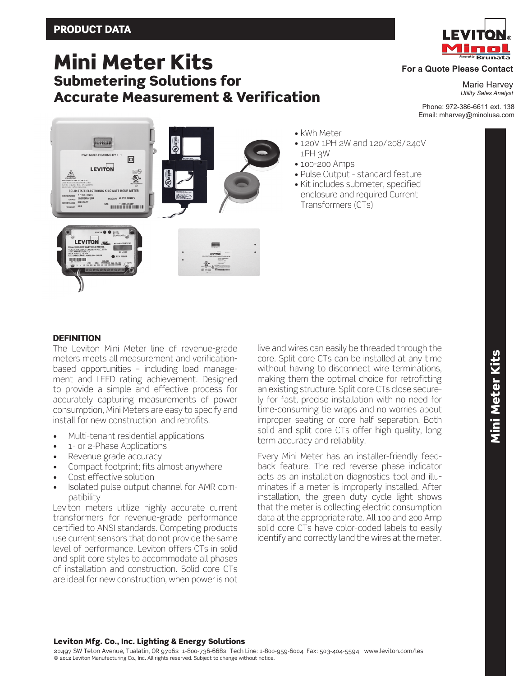# Mini Meter Kits Submetering Solutions for Accurate Measurement & Verification



# **For a Quote Please Contact**

Marie Harvey *Utility Sales Analyst*

Phone: 972-386-6611 ext. 138 Email: mharvey@minolusa.com



**DEFINITION** 

The Leviton Mini Meter line of revenue-grade meters meets all measurement and verificationbased opportunities – including load management and LEED rating achievement. Designed to provide a simple and effective process for accurately capturing measurements of power consumption, Mini Meters are easy to specify and install for new construction and retrofits.

- Multi-tenant residential applications
- 1- or 2-Phase Applications
- Revenue grade accuracy
- Compact footprint; fits almost anywhere
- Cost effective solution
- Isolated pulse output channel for AMR compatibility

Leviton meters utilize highly accurate current transformers for revenue-grade performance certified to ANSI standards. Competing products use current sensors that do not provide the same level of performance. Leviton offers CTs in solid and split core styles to accommodate all phases of installation and construction. Solid core CTs are ideal for new construction, when power is not live and wires can easily be threaded through the core. Split core CTs can be installed at any time without having to disconnect wire terminations, making them the optimal choice for retrofitting an existing structure. Split core CTs close securely for fast, precise installation with no need for time-consuming tie wraps and no worries about improper seating or core half separation. Both solid and split core CTs offer high quality, long term accuracy and reliability.

• kWh Meter

1PH 3W • 100-200 Amps

• 120V 1PH 2W and 120/208/240V

• Pulse Output - standard feature • Kit includes submeter, specified enclosure and required Current

Transformers (CTs)

Every Mini Meter has an installer-friendly feedback feature. The red reverse phase indicator acts as an installation diagnostics tool and illuminates if a meter is improperly installed. After installation, the green duty cycle light shows that the meter is collecting electric consumption data at the appropriate rate. All 100 and 200 Amp solid core CTs have color-coded labels to easily identify and correctly land the wires at the meter.

# Leviton Mfg. Co., Inc. Lighting & Energy Solutions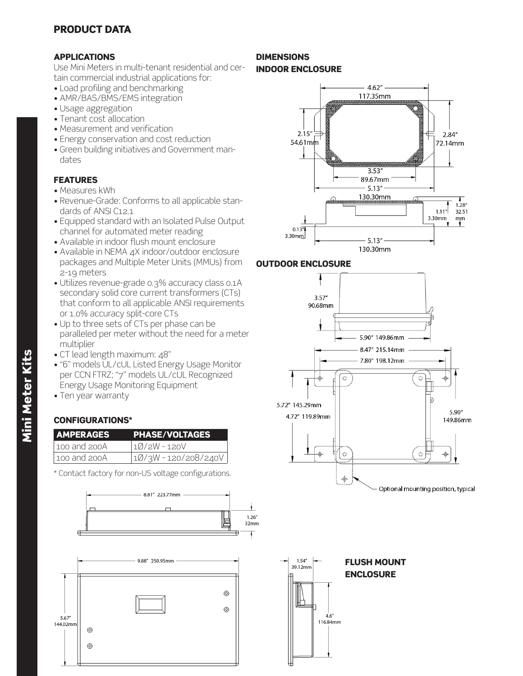# PRODUCT DATA

# APPLICATIONS

Use Mini Meters in multi-tenant residential and certain commercial industrial applications for:

- Load profiling and benchmarking
- AMR/BAS/BMS/EMS integration
- Usage aggregation
- Tenant cost allocation
- Measurement and verification
- Energy conservation and cost reduction
- Green building initiatives and Government mandates

# FEATURES

- Measures kWh
- Revenue-Grade: Conforms to all applicable standards of ANSI C12.1
- Equipped standard with an Isolated Pulse Output channel for automated meter reading
- Available in indoor flush mount enclosure
- Available in NEMA 4X indoor/outdoor enclosure packages and Multiple Meter Units (MMUs) from 2-19 meters
- Utilizes revenue-grade 0.3% accuracy class 0.1A secondary solid core current transformers (CTs) that conform to all applicable ANSI requirements or 1.0% accuracy split-core CTs
- Up to three sets of CTs per phase can be paralleled per meter without the need for a meter multiplier
- CT lead length maximum: 48"
- "6" models UL/cUL Listed Energy Usage Monitor per CCN FTRZ; "7" models UL/cUL Recognized Energy Usage Monitoring Equipment
- Ten year warranty

# CONFIGURATIONS\*

| <b>AMPERAGES</b>    | <b>PHASE/VOLTAGES</b> |
|---------------------|-----------------------|
| $\log$ and $\log A$ | 10/2W-120V            |
| 100 and 200A        | 10/3W - 120/208/240V  |

\* Contact factory for non-US voltage configurations.





### DIMENSIONS INDOOR ENCLOSURE

### $4.62''$ 117.35mm  $2.15'$  $2.84''$ 54.61mm 72.14mm  $3.53''$ 89.67mm  $5.13''$ 130.30mm  $1.28''$  $1.11''$ 32.51 3.30mm mm  $0.13^{7}$ 3.30mm  $5.13''$ 130.30mm





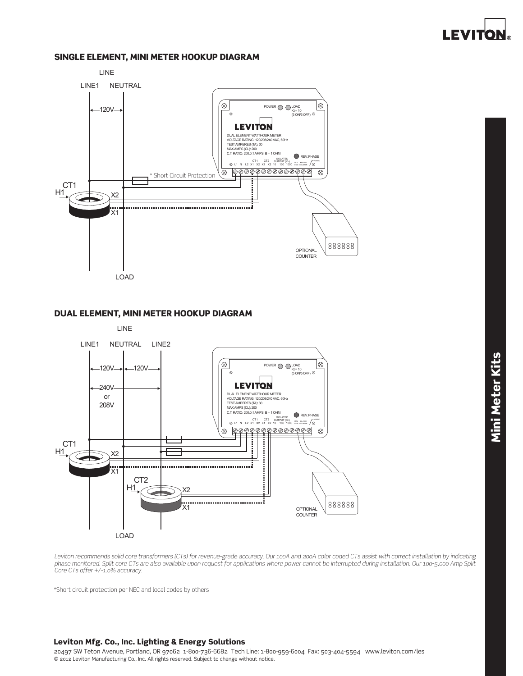

### SINGLE ELEMENT, MINI METER HOOKUP DIAGRAM



### DUAL ELEMENT, MINI METER HOOKUP DIAGRAM



Leviton recommends solid core transformers (CTs) for revenue-grade accuracy. Our 100A and 200A color coded CTs assist with correct installation by indicating *phase monitored. Split core CTs are also available upon request for applications where power cannot be interrupted during installation. Our 100-5,000 Amp Split Core CTs offer +/-1.0% accuracy.*

\*Short circuit protection per NEC and local codes by others

### Leviton Mfg. Co., Inc. Lighting & Energy Solutions

20497 SW Teton Avenue, Portland, OR 97062 1-800-736-6682 Tech Line: 1-800-959-6004 Fax: 503-404-5594 www.leviton.com/les © 2012 Leviton Manufacturing Co., Inc. All rights reserved. Subject to change without notice.